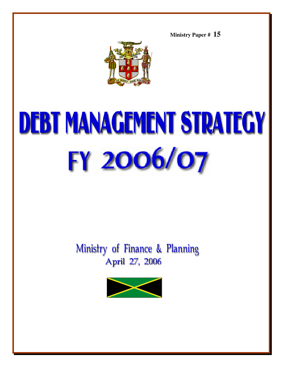**Ministry Paper # 15**



# **DEBT MANAGEMENT STRATEGY** FY 2006/07

# Ministry of Finance & Planning April 27, 2006

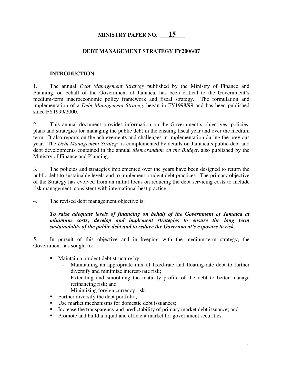# **MINISTRY PAPER NO. 15**

#### **DEBT MANAGEMENT STRATEGY FY2006/07**

#### **INTRODUCTION**

1. The annual *Debt Management Strategy* published by the Ministry of Finance and Planning, on behalf of the Government of Jamaica, has been critical to the Government's medium-term macroeconomic policy framework and fiscal strategy. The formulation and implementation of a *Debt Management Strategy* began in FY1998/99 and has been published since FY1999/2000.

2. This annual document provides information on the Government's objectives, policies, plans and strategies for managing the public debt in the ensuing fiscal year and over the medium term. It also reports on the achievements and challenges in implementation during the previous year. The *Debt Management Strategy* is complemented by details on Jamaica's public debt and debt developments contained in the annual *Memorandum on the Budget*, also published by the Ministry of Finance and Planning.

3. The policies and strategies implemented over the years have been designed to return the public debt to sustainable levels and to implement prudent debt practices. The primary objective of the Strategy has evolved from an initial focus on reducing the debt servicing costs to include risk management, consistent with international best practice.

4. The revised debt management objective is:

*To raise adequate levels of financing on behalf of the Government of Jamaica at minimum costs; develop and implement strategies to ensure the long term sustainability of the public debt and to reduce the Government's exposure to risk.*

5. In pursuit of this objective and in keeping with the medium-term strategy, the Government has sought to:

- Maintain a prudent debt structure by:
	- Maintaining an appropriate mix of fixed-rate and floating-rate debt to further diversify and minimize interest-rate risk;
	- Extending and smoothing the maturity profile of the debt to better manage refinancing risk; and
	- Minimizing foreign currency risk.
- Further diversify the debt portfolio;
- Use market mechanisms for domestic debt issuances;
- Increase the transparency and predictability of primary market debt issuance; and
- **Promote and build a liquid and efficient market for government securities.**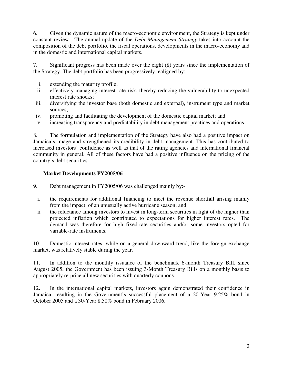6. Given the dynamic nature of the macro-economic environment, the Strategy is kept under constant review. The annual update of the *Debt Management Strategy* takes into account the composition of the debt portfolio, the fiscal operations, developments in the macro-economy and in the domestic and international capital markets.

7. Significant progress has been made over the eight (8) years since the implementation of the Strategy. The debt portfolio has been progressively realigned by:

- i. extending the maturity profile;
- ii. effectively managing interest rate risk, thereby reducing the vulnerability to unexpected interest rate shocks;
- iii. diversifying the investor base (both domestic and external), instrument type and market sources;
- iv. promoting and facilitating the development of the domestic capital market; and
- v. increasing transparency and predictability in debt management practices and operations.

8. The formulation and implementation of the Strategy have also had a positive impact on Jamaica's image and strengthened its credibility in debt management. This has contributed to increased investors' confidence as well as that of the rating agencies and international financial community in general. All of these factors have had a positive influence on the pricing of the country's debt securities.

#### **Market Developments FY2005/06**

- 9. Debt management in FY2005/06 was challenged mainly by:
	- i. the requirements for additional financing to meet the revenue shortfall arising mainly from the impact of an unusually active hurricane season; and
	- ii the reluctance among investors to invest in long-term securities in light of the higher than projected inflation which contributed to expectations for higher interest rates. The demand was therefore for high fixed-rate securities and/or some investors opted for variable-rate instruments.

10. Domestic interest rates, while on a general downward trend, like the foreign exchange market, was relatively stable during the year.

11. In addition to the monthly issuance of the benchmark 6-month Treasury Bill, since August 2005, the Government has been issuing 3-Month Treasury Bills on a monthly basis to appropriately re-price all new securities with quarterly coupons.

12. In the international capital markets, investors again demonstrated their confidence in Jamaica, resulting in the Government's successful placement of a 20-Year 9.25% bond in October 2005 and a 30-Year 8.50% bond in February 2006.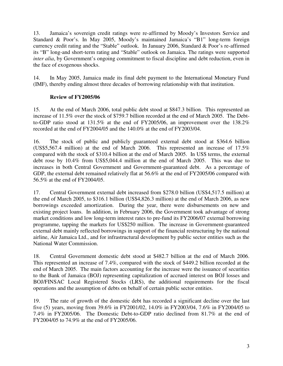13. Jamaica's sovereign credit ratings were re-affirmed by Moody's Investors Service and Standard & Poor's. In May 2005, Moody's maintained Jamaica's "B1" long-term foreign currency credit rating and the "Stable" outlook. In January 2006, Standard & Poor's re-affirmed its "B" long-and short-term rating and "Stable" outlook on Jamaica. The ratings were supported *inter alia*, by Government's ongoing commitment to fiscal discipline and debt reduction, even in the face of exogenous shocks.

14. In May 2005, Jamaica made its final debt payment to the International Monetary Fund (IMF), thereby ending almost three decades of borrowing relationship with that institution.

#### **Review of FY2005/06**

15. At the end of March 2006, total public debt stood at \$847.3 billion. This represented an increase of 11.5% over the stock of \$759.7 billion recorded at the end of March 2005. The Debtto-GDP ratio stood at 131.5% at the end of FY2005/06, an improvement over the 138.2% recorded at the end of FY2004/05 and the 140.0% at the end of FY2003/04.

16. The stock of public and publicly guaranteed external debt stood at \$364.6 billion (US\$5,567.4 million) at the end of March 2006. This represented an increase of 17.5% compared with the stock of \$310.4 billion at the end of March 2005. In US\$ terms, the external debt rose by 10.4% from US\$5,044.4 million at the end of March 2005. This was due to increases in both Central Government and Government-guaranteed debt. As a percentage of GDP, the external debt remained relatively flat at 56.6% at the end of FY2005/06 compared with 56.5% at the end of FY2004/05.

17. Central Government external debt increased from \$278.0 billion (US\$4,517.5 million) at the end of March 2005, to \$316.1 billion (US\$4,826.3 million) at the end of March 2006, as new borrowings exceeded amortization. During the year, there were disbursements on new and existing project loans. In addition, in February 2006, the Government took advantage of strong market conditions and low long-term interest rates to pre-fund its FY2006/07 external borrowing programme, tapping the markets for US\$250 million. The increase in Government-guaranteed external debt mainly reflected borrowings in support of the financial restructuring by the national airline, Air Jamaica Ltd., and for infrastructural development by public sector entities such as the National Water Commission.

18. Central Government domestic debt stood at \$482.7 billion at the end of March 2006. This represented an increase of 7.4%, compared with the stock of \$449.2 billion recorded at the end of March 2005. The main factors accounting for the increase were the issuance of securities to the Bank of Jamaica (BOJ) representing capitalization of accrued interest on BOJ losses and BOJ/FINSAC Local Registered Stocks (LRS), the additional requirements for the fiscal operations and the assumption of debts on behalf of certain public sector entities.

19. The rate of growth of the domestic debt has recorded a significant decline over the last five (5) years, moving from 39.6% in FY2001/02, 14.0% in FY2003/04, 7.6% in FY2004/05 to 7.4% in FY2005/06. The Domestic Debt-to-GDP ratio declined from 81.7% at the end of FY2004/05 to 74.9% at the end of FY2005/06.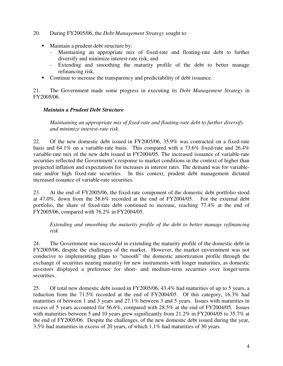- 20. During FY2005/06, the *Debt Management Strategy* sought to:
	- Maintain a prudent debt structure by:
		- Maintaining an appropriate mix of fixed-rate and floating-rate debt to further diversify and minimize interest-rate risk; and
		- Extending and smoothing the maturity profile of the debt to better manage refinancing risk.
	- Continue to increase the transparency and predictability of debt issuance.

21. The Government made some progress in executing its *Debt Management Strategy* in FY2005/06.

#### *Maintain a Prudent Debt Structure*

*Maintaining an appropriate mix of fixed-rate and floating-rate debt to further diversify and minimize interest-rate risk*.

22. Of the new domestic debt issued in FY2005/06, 35.9% was contracted on a fixed-rate basis and 64.1% on a variable-rate basis. This compared with a 73.6% fixed-rate and 26.4% variable-rate mix of the new debt issued in FY2004/05. The increased issuance of variable-rate securities reflected the Government's response to market conditions in the context of higher than projected inflation and expectations for increases in interest rates. The demand was for variablerate and/or high fixed-rate securities. In this context, prudent debt management dictated increased issuance of variable-rate securities.

23. At the end of FY2005/06, the fixed-rate component of the domestic debt portfolio stood at 47.0%, down from the 58.6% recorded at the end of FY2004/05. For the external debt portfolio, the share of fixed-rate debt continued to increase, reaching 77.4% at the end of FY2005/06, compared with 76.2% in FY2004/05.

#### *Extending and smoothing the maturity profile of the debt to better manage refinancing risk*

24. The Government was successful in extending the maturity profile of the domestic debt in FY2005/06, despite the challenges of the market. However, the market environment was not conducive to implementing plans to "smooth" the domestic amortization profile through the exchange of securities nearing maturity for new instruments with longer maturities, as domestic investors displayed a preference for short- and medium-term securities over longer-term securities.

25. Of total new domestic debt issued in FY2005/06, 43.4% had maturities of up to 5 years, a reduction from the 71.5% recorded at the end of FY2004/05. Of this category, 16.3% had maturities of between 1 and 3 years and 27.1% between 3 and 5 years. Issues with maturities in excess of 5 years accounted for 56.6%, compared with 28.5% at the end of FY2004/05. Issues with maturities between 5 and 10 years grew significantly from 21.2% in FY2004/05 to 35.7% at the end of FY2005/06. Despite the challenges, of the new domestic debt issued during the year, 3.5% had maturities in excess of 20 years, of which 1.1% had maturities of 30 years.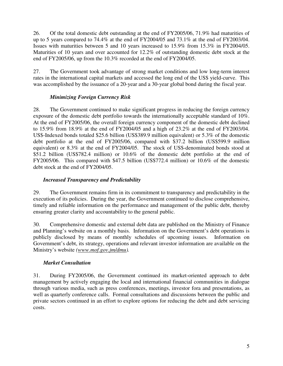26. Of the total domestic debt outstanding at the end of FY2005/06, 71.9% had maturities of up to 5 years compared to 74.4% at the end of FY2004/05 and 73.1% at the end of FY2003/04. Issues with maturities between 5 and 10 years increased to 15.9% from 15.3% in FY2004/05. Maturities of 10 years and over accounted for 12.2% of outstanding domestic debt stock at the end of FY2005/06, up from the 10.3% recorded at the end of FY2004/05.

27. The Government took advantage of strong market conditions and low long-term interest rates in the international capital markets and accessed the long end of the US\$ yield-curve. This was accomplished by the issuance of a 20-year and a 30-year global bond during the fiscal year.

# *Minimizing Foreign Currency Risk*

28. The Government continued to make significant progress in reducing the foreign currency exposure of the domestic debt portfolio towards the internationally acceptable standard of 10%. At the end of FY2005/06, the overall foreign currency component of the domestic debt declined to 15.9% from 18.9% at the end of FY2004/05 and a high of 23.2% at the end of FY2003/04. US\$-Indexed bonds totaled \$25.6 billion (US\$389.9 million equivalent) or 5.3% of the domestic debt portfolio at the end of FY2005/06, compared with \$37.2 billion (US\$599.9 million equivalent) or 8.3% at the end of FY2004/05. The stock of US\$-denominated bonds stood at \$51.2 billion (US\$782.4 million) or 10.6% of the domestic debt portfolio at the end of FY2005/06. This compared with \$47.5 billion (US\$772.4 million) or 10.6% of the domestic debt stock at the end of FY2004/05.

# *Increased Transparency and Predictability*

29. The Government remains firm in its commitment to transparency and predictability in the execution of its policies. During the year, the Government continued to disclose comprehensive, timely and reliable information on the performance and management of the public debt, thereby ensuring greater clarity and accountability to the general public.

30. Comprehensive domestic and external debt data are published on the Ministry of Finance and Planning's website on a monthly basis. Information on the Government's debt operations is publicly disclosed by means of monthly schedules of upcoming issues. Information on Government's debt, its strategy, operations and relevant investor information are available on the Ministry's website *(www.mof.gov.jm/dmu).*

# *Market Consultation*

31. During FY2005/06, the Government continued its market-oriented approach to debt management by actively engaging the local and international financial communities in dialogue through various media, such as press conferences, meetings, investor fora and presentations, as well as quarterly conference calls. Formal consultations and discussions between the public and private sectors continued in an effort to explore options for reducing the debt and debt servicing costs.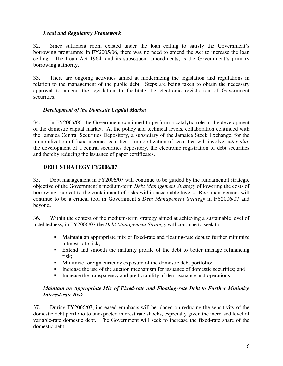#### *Legal and Regulatory Framework*

32. Since sufficient room existed under the loan ceiling to satisfy the Government's borrowing programme in FY2005/06, there was no need to amend the Act to increase the loan ceiling. The Loan Act 1964, and its subsequent amendments, is the Government's primary borrowing authority.

33. There are ongoing activities aimed at modernizing the legislation and regulations in relation to the management of the public debt. Steps are being taken to obtain the necessary approval to amend the legislation to facilitate the electronic registration of Government securities.

#### *Development of the Domestic Capital Market*

34. In FY2005/06, the Government continued to perform a catalytic role in the development of the domestic capital market. At the policy and technical levels, collaboration continued with the Jamaica Central Securities Depository, a subsidiary of the Jamaica Stock Exchange, for the immobilization of fixed income securities. Immobilization of securities will involve, *inter alia*, the development of a central securities depository, the electronic registration of debt securities and thereby reducing the issuance of paper certificates.

#### **DEBT STRATEGY FY2006/07**

35. Debt management in FY2006/07 will continue to be guided by the fundamental strategic objective of the Government's medium-term *Debt Management Strategy* of lowering the costs of borrowing, subject to the containment of risks within acceptable levels. Risk management will continue to be a critical tool in Government's *Debt Management Strategy* in FY2006/07 and beyond.

36. Within the context of the medium-term strategy aimed at achieving a sustainable level of indebtedness, in FY2006/07 the *Debt Management Strategy* will continue to seek to:

- Maintain an appropriate mix of fixed-rate and floating-rate debt to further minimize interest-rate risk;
- Extend and smooth the maturity profile of the debt to better manage refinancing risk;
- **Minimize foreign currency exposure of the domestic debt portfolio;**
- Increase the use of the auction mechanism for issuance of domestic securities; and
- Increase the transparency and predictability of debt issuance and operations.

#### *Maintain an Appropriate Mix of Fixed-rate and Floating-rate Debt to Further Minimize Interest-rate Risk*

37. During FY2006/07, increased emphasis will be placed on reducing the sensitivity of the domestic debt portfolio to unexpected interest rate shocks, especially given the increased level of variable-rate domestic debt. The Government will seek to increase the fixed-rate share of the domestic debt.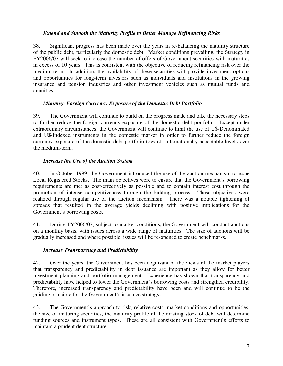#### *Extend and Smooth the Maturity Profile to Better Manage Refinancing Risks*

38. Significant progress has been made over the years in re-balancing the maturity structure of the public debt, particularly the domestic debt. Market conditions prevailing, the Strategy in FY2006/07 will seek to increase the number of offers of Government securities with maturities in excess of 10 years. This is consistent with the objective of reducing refinancing risk over the medium-term. In addition, the availability of these securities will provide investment options and opportunities for long-term investors such as individuals and institutions in the growing insurance and pension industries and other investment vehicles such as mutual funds and annuities.

#### *Minimize Foreign Currency Exposure of the Domestic Debt Portfolio*

39. The Government will continue to build on the progress made and take the necessary steps to further reduce the foreign currency exposure of the domestic debt portfolio. Except under extraordinary circumstances, the Government will continue to limit the use of U\$-Denominated and U\$-Indexed instruments in the domestic market in order to further reduce the foreign currency exposure of the domestic debt portfolio towards internationally acceptable levels over the medium-term.

#### *Increase the Use of the Auction System*

40. In October 1999, the Government introduced the use of the auction mechanism to issue Local Registered Stocks. The main objectives were to ensure that the Government's borrowing requirements are met as cost-effectively as possible and to contain interest cost through the promotion of intense competitiveness through the bidding process. These objectives were realized through regular use of the auction mechanism. There was a notable tightening of spreads that resulted in the average yields declining with positive implications for the Government's borrowing costs.

41. During FY2006/07, subject to market conditions, the Government will conduct auctions on a monthly basis, with issues across a wide range of maturities. The size of auctions will be gradually increased and where possible, issues will be re-opened to create benchmarks.

# *Increase Transparency and Predictability*

42. Over the years, the Government has been cognizant of the views of the market players that transparency and predictability in debt issuance are important as they allow for better investment planning and portfolio management. Experience has shown that transparency and predictability have helped to lower the Government's borrowing costs and strengthen credibility. Therefore, increased transparency and predictability have been and will continue to be the guiding principle for the Government's issuance strategy.

43. The Government's approach to risk, relative costs, market conditions and opportunities, the size of maturing securities, the maturity profile of the existing stock of debt will determine funding sources and instrument types. These are all consistent with Government's efforts to maintain a prudent debt structure.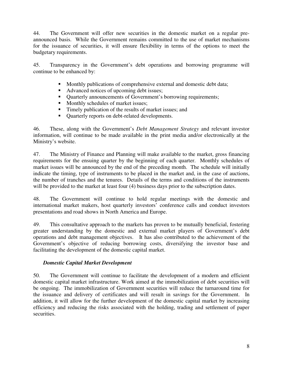44. The Government will offer new securities in the domestic market on a regular preannounced basis. While the Government remains committed to the use of market mechanisms for the issuance of securities, it will ensure flexibility in terms of the options to meet the budgetary requirements.

45. Transparency in the Government's debt operations and borrowing programme will continue to be enhanced by:

- Monthly publications of comprehensive external and domestic debt data;
- Advanced notices of upcoming debt issues;
- Quarterly announcements of Government's borrowing requirements;
- Monthly schedules of market issues;
- Timely publication of the results of market issues; and
- Quarterly reports on debt-related developments.

46. These, along with the Government's *Debt Management Strategy* and relevant investor information, will continue to be made available in the print media and/or electronically at the Ministry's website.

47. The Ministry of Finance and Planning will make available to the market, gross financing requirements for the ensuing quarter by the beginning of each quarter. Monthly schedules of market issues will be announced by the end of the preceding month. The schedule will initially indicate the timing, type of instruments to be placed in the market and, in the case of auctions, the number of tranches and the tenures. Details of the terms and conditions of the instruments will be provided to the market at least four (4) business days prior to the subscription dates.

48. The Government will continue to hold regular meetings with the domestic and international market makers, host quarterly investors' conference calls and conduct investors presentations and road shows in North America and Europe.

49. This consultative approach to the markets has proven to be mutually beneficial, fostering greater understanding by the domestic and external market players of Government's debt operations and debt management objectives. It has also contributed to the achievement of the Government's objective of reducing borrowing costs, diversifying the investor base and facilitating the development of the domestic capital market.

# *Domestic Capital Market Development*

50. The Government will continue to facilitate the development of a modern and efficient domestic capital market infrastructure. Work aimed at the immobilization of debt securities will be ongoing. The immobilization of Government securities will reduce the turnaround time for the issuance and delivery of certificates and will result in savings for the Government. In addition, it will allow for the further development of the domestic capital market by increasing efficiency and reducing the risks associated with the holding, trading and settlement of paper securities.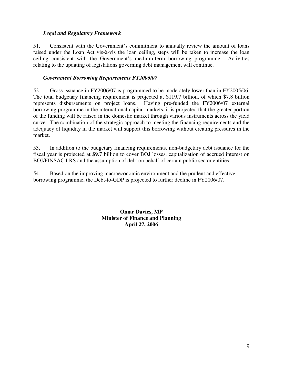#### *Legal and Regulatory Framework*

51. Consistent with the Government's commitment to annually review the amount of loans raised under the Loan Act vis-à-vis the loan ceiling, steps will be taken to increase the loan ceiling consistent with the Government's medium-term borrowing programme. Activities relating to the updating of legislations governing debt management will continue.

#### *Government Borrowing Requirements FY2006/07*

52. Gross issuance in FY2006/07 is programmed to be moderately lower than in FY2005/06. The total budgetary financing requirement is projected at \$119.7 billion, of which \$7.8 billion represents disbursements on project loans. Having pre-funded the FY2006/07 external borrowing programme in the international capital markets, it is projected that the greater portion of the funding will be raised in the domestic market through various instruments across the yield curve. The combination of the strategic approach to meeting the financing requirements and the adequacy of liquidity in the market will support this borrowing without creating pressures in the market.

53. In addition to the budgetary financing requirements, non-budgetary debt issuance for the fiscal year is projected at \$9.7 billion to cover BOJ losses, capitalization of accrued interest on BOJ/FINSAC LRS and the assumption of debt on behalf of certain public sector entities.

54. Based on the improving macroeconomic environment and the prudent and effective borrowing programme, the Debt-to-GDP is projected to further decline in FY2006/07.

> **Omar Davies, MP Minister of Finance and Planning April 27, 2006**